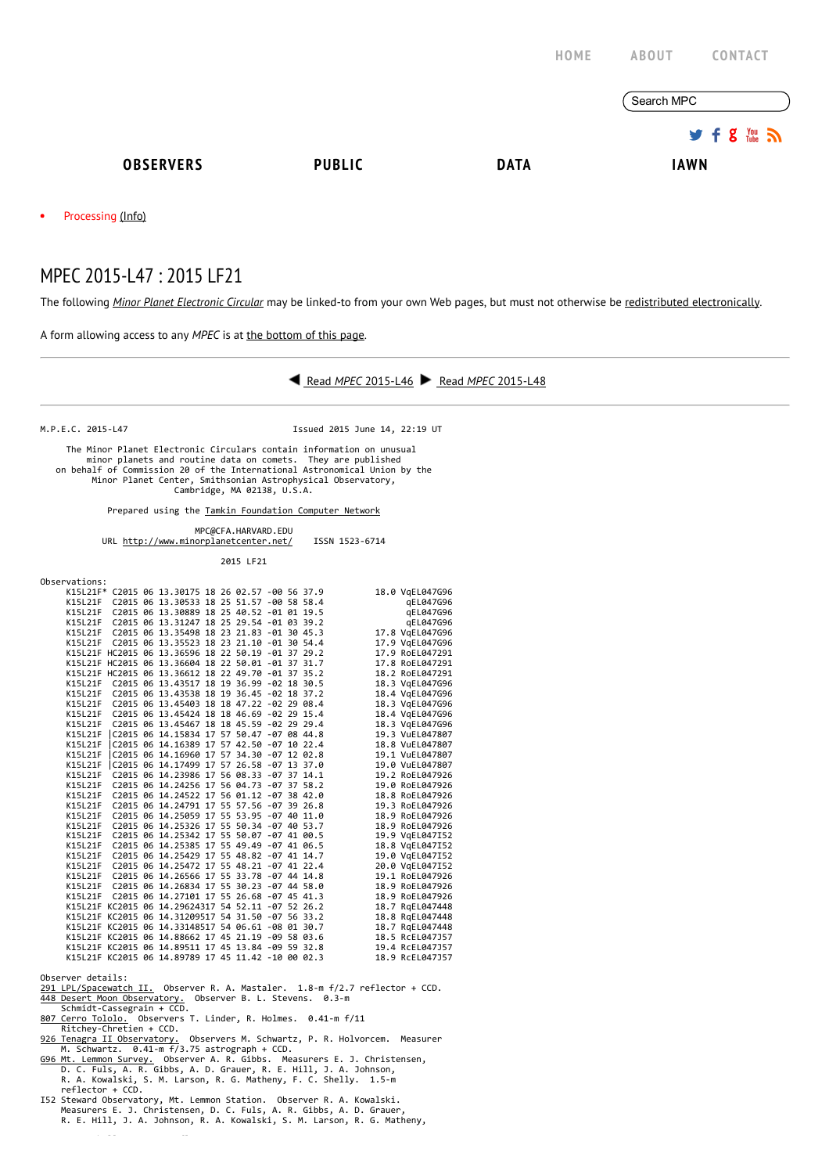|           |                   |               | HOME        | <b>CONTACT</b><br><b>ABOUT</b> |
|-----------|-------------------|---------------|-------------|--------------------------------|
|           |                   |               |             | Search MPC                     |
|           |                   |               |             | $9.5$ $\frac{100}{20}$         |
|           | <b>OBSERVERS</b>  | <b>PUBLIC</b> | <b>DATA</b> | <b>IAWN</b>                    |
| $\bullet$ | Processing (Info) |               |             |                                |

## MPEC 2015-L47 : 2015 LF21

The following Minor Planet [Electronic](http://www.minorplanetcenter.net/iau/services/MPEC.html) Circular may be linked-to from your own Web pages, but must not otherwise be redistributed [electronically](http://www.minorplanetcenter.net/iau/WWWPolicy.html).

A form allowing access to any MPEC is at the [bottom](http://www.minorplanetcenter.net/mpec/K15/K15L47.html#form) of this page.



|         |  | K15L21F C2015 06 13.35498 18 23 21.83 -01 30 45.3  |  |  |  | 17.8 VgEL047G96 |
|---------|--|----------------------------------------------------|--|--|--|-----------------|
| K15L21F |  | C2015 06 13.35523 18 23 21.10 -01 30 54.4          |  |  |  | 17.9 VgEL047G96 |
|         |  | K15L21F HC2015 06 13.36596 18 22 50.19 -01 37 29.2 |  |  |  | 17.9 RoEL047291 |
|         |  | K15L21F HC2015 06 13.36604 18 22 50.01 -01 37 31.7 |  |  |  | 17.8 RoEL047291 |
|         |  | K15L21F HC2015 06 13.36612 18 22 49.70 -01 37 35.2 |  |  |  | 18.2 RoEL047291 |
| K15L21F |  | C2015 06 13.43517 18 19 36.99 -02 18 30.5          |  |  |  | 18.3 VgEL047G96 |
|         |  | K15L21F C2015 06 13.43538 18 19 36.45 -02 18 37.2  |  |  |  | 18.4 VgEL047G96 |
|         |  | K15L21F C2015 06 13.45403 18 18 47.22 -02 29 08.4  |  |  |  | 18.3 VgEL047G96 |
|         |  | K15L21F C2015 06 13.45424 18 18 46.69 -02 29 15.4  |  |  |  | 18.4 VgEL047G96 |
|         |  | K15L21F C2015 06 13.45467 18 18 45.59 -02 29 29.4  |  |  |  | 18.3 VgEL047G96 |
|         |  | K15L21F C2015 06 14.15834 17 57 50.47 -07 08 44.8  |  |  |  | 19.3 VuEL047807 |
| K15L21F |  | C2015 06 14.16389 17 57 42.50 -07 10 22.4          |  |  |  | 18.8 VuEL047807 |
| K15L21F |  | C2015 06 14.16960 17 57 34.30 -07 12 02.8          |  |  |  | 19.1 VuEL047807 |
|         |  | K15L21F C2015 06 14.17499 17 57 26.58 -07 13 37.0  |  |  |  | 19.0 VuEL047807 |
|         |  | K15L21F C2015 06 14.23986 17 56 08.33 -07 37 14.1  |  |  |  | 19.2 RoEL047926 |
| K15L21F |  | C2015 06 14.24256 17 56 04.73 -07 37 58.2          |  |  |  | 19.0 RoEL047926 |
| K15L21F |  | C2015 06 14.24522 17 56 01.12 -07 38 42.0          |  |  |  | 18.8 RoEL047926 |
|         |  | K15L21F C2015 06 14.24791 17 55 57.56 -07 39 26.8  |  |  |  | 19.3 RoEL047926 |
| K15L21F |  | C2015 06 14.25059 17 55 53.95 -07 40 11.0          |  |  |  | 18.9 RoEL047926 |
| K15L21F |  | C2015 06 14.25326 17 55 50.34 -07 40 53.7          |  |  |  | 18.9 RoEL047926 |
| K15L21F |  | C2015 06 14.25342 17 55 50.07 -07 41 00.5          |  |  |  | 19.9 VgEL047I52 |
| K15L21F |  | C2015 06 14.25385 17 55 49.49 -07 41 06.5          |  |  |  | 18.8 VgEL047I52 |
| K15L21F |  | C2015 06 14.25429 17 55 48.82 -07 41 14.7          |  |  |  | 19.0 VgEL047I52 |
| K15L21F |  | C2015 06 14.25472 17 55 48.21 -07 41 22.4          |  |  |  | 20.0 VgEL047I52 |
|         |  | K15L21F C2015 06 14.26566 17 55 33.78 -07 44 14.8  |  |  |  | 19.1 RoEL047926 |
|         |  | K15L21F C2015 06 14.26834 17 55 30.23 -07 44 58.0  |  |  |  | 18.9 RoEL047926 |
| K15L21F |  | C2015 06 14.27101 17 55 26.68 -07 45 41.3          |  |  |  | 18.9 RoEL047926 |
|         |  | K15L21F KC2015 06 14.29624317 54 52.11 -07 52 26.2 |  |  |  | 18.7 RgEL047448 |
|         |  | K15L21F KC2015 06 14.31209517 54 31.50 -07 56 33.2 |  |  |  | 18.8 RgEL047448 |
|         |  | K15L21F KC2015 06 14.33148517 54 06.61 -08 01 30.7 |  |  |  | 18.7 RgEL047448 |
|         |  | K15L21F KC2015 06 14.88662 17 45 21.19 -09 58 03.6 |  |  |  | 18.5 RcEL047J57 |
|         |  | K15L21F KC2015 06 14.89511 17 45 13.84 -09 59 32.8 |  |  |  | 19.4 RcEL047J57 |
|         |  | K15L21F KC2015 06 14.89789 17 45 11.42 -10 00 02.3 |  |  |  | 18.9 RcEL047J57 |

Observer details:

- [291 LPL/Spacewatch II.](http://spacewatch.lpl.arizona.edu/) Observer R. A. Mastaler. 1.8‐m f/2.7 reflector + CCD. [448 Desert Moon Observatory.](http://www.morning-twilight.com/dm448/)  Observer B. L. Stevens. 0.3‐m
- 
- 
- 
- Schmidt-Cassegrain + CCD.<br>
<u>807 Cerro Tololo</u>. Observers T. Linder, R. Holmes. 0.41-m f/11<br>
Ritchey-Chretien + CCD.<br>
<u>926 Tenagra II Observatory.</u> Observers M. Schwartz, P. R. Holvorcem. Measurer<br>
M. Schwartz. 0.41-m f/3.7
- Measurers E. J. Christensen, D. C. Fuls, A. R. Gibbs, A. D. Grauer, R. E. Hill, J. A. Johnson, R. A. Kowalski, S. M. Larson, R. G. Matheny,